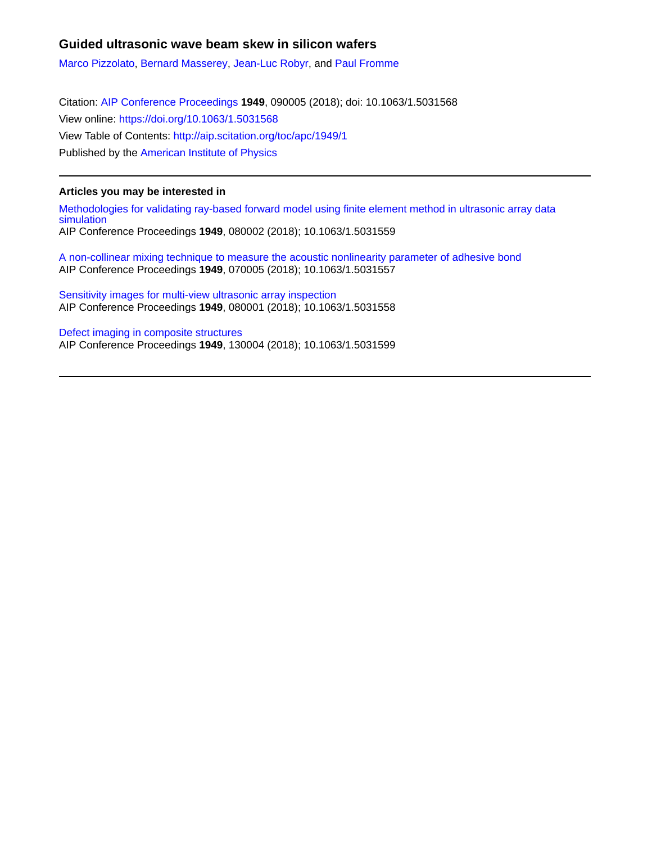# **Guided ultrasonic wave beam skew in silicon wafers**

[Marco Pizzolato,](http://aip.scitation.org/author/Pizzolato%2C+Marco) [Bernard Masserey,](http://aip.scitation.org/author/Masserey%2C+Bernard) [Jean-Luc Robyr,](http://aip.scitation.org/author/Robyr%2C+Jean-Luc) and [Paul Fromme](http://aip.scitation.org/author/Fromme%2C+Paul)

Citation: [AIP Conference Proceedings](/loi/apc) **1949**, 090005 (2018); doi: 10.1063/1.5031568 View online: <https://doi.org/10.1063/1.5031568> View Table of Contents: <http://aip.scitation.org/toc/apc/1949/1> Published by the [American Institute of Physics](http://aip.scitation.org/publisher/)

### **Articles you may be interested in**

[Methodologies for validating ray-based forward model using finite element method in ultrasonic array data](http://aip.scitation.org/doi/abs/10.1063/1.5031559) [simulation](http://aip.scitation.org/doi/abs/10.1063/1.5031559) AIP Conference Proceedings **1949**, 080002 (2018); 10.1063/1.5031559

[A non-collinear mixing technique to measure the acoustic nonlinearity parameter of adhesive bond](http://aip.scitation.org/doi/abs/10.1063/1.5031557) AIP Conference Proceedings **1949**, 070005 (2018); 10.1063/1.5031557

[Sensitivity images for multi-view ultrasonic array inspection](http://aip.scitation.org/doi/abs/10.1063/1.5031558) AIP Conference Proceedings **1949**, 080001 (2018); 10.1063/1.5031558

[Defect imaging in composite structures](http://aip.scitation.org/doi/abs/10.1063/1.5031599) AIP Conference Proceedings **1949**, 130004 (2018); 10.1063/1.5031599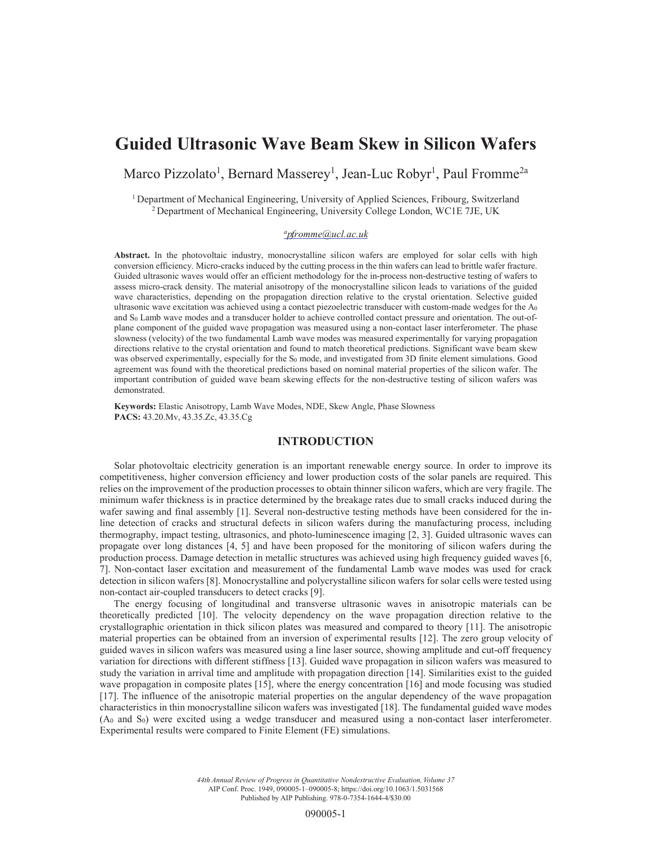# **Guided Ultrasonic Wave Beam Skew in Silicon Wafers**

Marco Pizzolato<sup>1</sup>, Bernard Masserey<sup>1</sup>, Jean-Luc Robyr<sup>1</sup>, Paul Fromme<sup>2a</sup>

<sup>1</sup> Department of Mechanical Engineering, University of Applied Sciences, Fribourg, Switzerland <sup>2</sup> Department of Mechanical Engineering, University College London, WC1E 7JE, UK

#### *ap.fromme@ucl.ac.uk*

**Abstract.** In the photovoltaic industry, monocrystalline silicon wafers are employed for solar cells with high conversion efficiency. Micro-cracks induced by the cutting process in the thin wafers can lead to brittle wafer fracture. Guided ultrasonic waves would offer an efficient methodology for the in-process non-destructive testing of wafers to assess micro-crack density. The material anisotropy of the monocrystalline silicon leads to variations of the guided wave characteristics, depending on the propagation direction relative to the crystal orientation. Selective guided ultrasonic wave excitation was achieved using a contact piezoelectric transducer with custom-made wedges for the  $A_0$ and S0 Lamb wave modes and a transducer holder to achieve controlled contact pressure and orientation. The out-ofplane component of the guided wave propagation was measured using a non-contact laser interferometer. The phase slowness (velocity) of the two fundamental Lamb wave modes was measured experimentally for varying propagation directions relative to the crystal orientation and found to match theoretical predictions. Significant wave beam skew was observed experimentally, especially for the S<sub>0</sub> mode, and investigated from 3D finite element simulations. Good agreement was found with the theoretical predictions based on nominal material properties of the silicon wafer. The important contribution of guided wave beam skewing effects for the non-destructive testing of silicon wafers was demonstrated.

**Keywords:** Elastic Anisotropy, Lamb Wave Modes, NDE, Skew Angle, Phase Slowness **PACS:** 43.20.Mv, 43.35.Zc, 43.35.Cg

#### **INTRODUCTION**

Solar photovoltaic electricity generation is an important renewable energy source. In order to improve its competitiveness, higher conversion efficiency and lower production costs of the solar panels are required. This relies on the improvement of the production processes to obtain thinner silicon wafers, which are very fragile. The minimum wafer thickness is in practice determined by the breakage rates due to small cracks induced during the wafer sawing and final assembly [1]. Several non-destructive testing methods have been considered for the inline detection of cracks and structural defects in silicon wafers during the manufacturing process, including thermography, impact testing, ultrasonics, and photo-luminescence imaging [2, 3]. Guided ultrasonic waves can propagate over long distances [4, 5] and have been proposed for the monitoring of silicon wafers during the production process. Damage detection in metallic structures was achieved using high frequency guided waves [6, 7]. Non-contact laser excitation and measurement of the fundamental Lamb wave modes was used for crack detection in silicon wafers [8]. Monocrystalline and polycrystalline silicon wafers for solar cells were tested using non-contact air-coupled transducers to detect cracks [9].

The energy focusing of longitudinal and transverse ultrasonic waves in anisotropic materials can be theoretically predicted [10]. The velocity dependency on the wave propagation direction relative to the crystallographic orientation in thick silicon plates was measured and compared to theory [11]. The anisotropic material properties can be obtained from an inversion of experimental results [12]. The zero group velocity of guided waves in silicon wafers was measured using a line laser source, showing amplitude and cut-off frequency variation for directions with different stiffness [13]. Guided wave propagation in silicon wafers was measured to study the variation in arrival time and amplitude with propagation direction [14]. Similarities exist to the guided wave propagation in composite plates [15], where the energy concentration [16] and mode focusing was studied [17]. The influence of the anisotropic material properties on the angular dependency of the wave propagation characteristics in thin monocrystalline silicon wafers was investigated [18]. The fundamental guided wave modes (A0 and S0) were excited using a wedge transducer and measured using a non-contact laser interferometer. Experimental results were compared to Finite Element (FE) simulations.

> *44th Annual Review of Progress in Quantitative Nondestructive Evaluation, Volume 37* AIP Conf. Proc. 1949, 090005-1–090005-8; https://doi.org/10.1063/1.5031568 Published by AIP Publishing. 978-0-7354-1644-4/\$30.00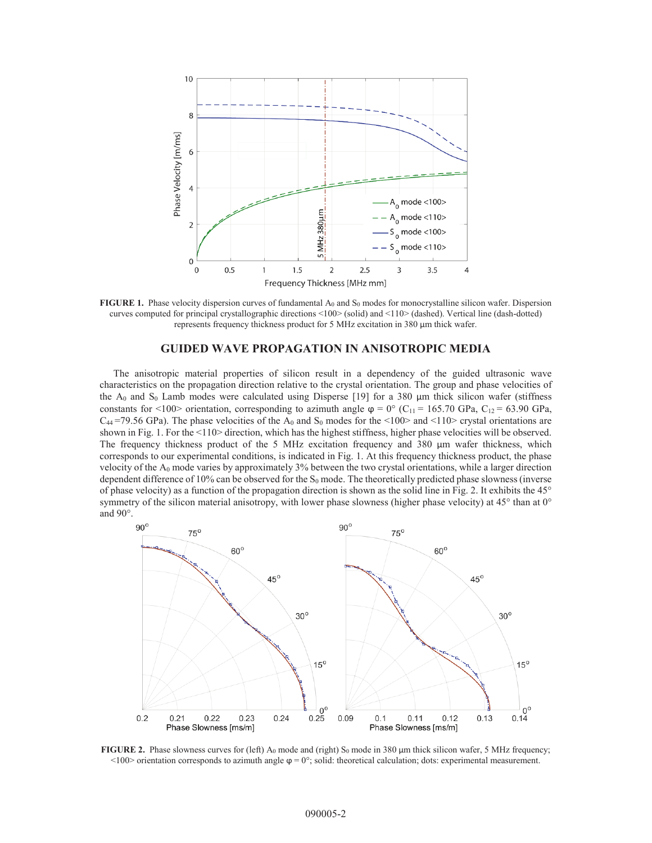

**FIGURE 1.** Phase velocity dispersion curves of fundamental A<sub>0</sub> and S<sub>0</sub> modes for monocrystalline silicon wafer. Dispersion curves computed for principal crystallographic directions <100> (solid) and <110> (dashed). Vertical line (dash-dotted) represents frequency thickness product for 5 MHz excitation in 380 μm thick wafer.

#### **GUIDED WAVE PROPAGATION IN ANISOTROPIC MEDIA**

The anisotropic material properties of silicon result in a dependency of the guided ultrasonic wave characteristics on the propagation direction relative to the crystal orientation. The group and phase velocities of the  $A_0$  and  $S_0$  Lamb modes were calculated using Disperse [19] for a 380  $\mu$ m thick silicon wafer (stiffness constants for <100> orientation, corresponding to azimuth angle  $\varphi = 0^{\circ}$  (C<sub>11</sub> = 165.70 GPa, C<sub>12</sub> = 63.90 GPa,  $C_{44}$ =79.56 GPa). The phase velocities of the A<sub>0</sub> and S<sub>0</sub> modes for the <100> and <110> crystal orientations are shown in Fig. 1. For the <110> direction, which has the highest stiffness, higher phase velocities will be observed. The frequency thickness product of the 5 MHz excitation frequency and 380 μm wafer thickness, which corresponds to our experimental conditions, is indicated in Fig. 1. At this frequency thickness product, the phase velocity of the A0 mode varies by approximately 3% between the two crystal orientations, while a larger direction dependent difference of 10% can be observed for the  $S_0$  mode. The theoretically predicted phase slowness (inverse of phase velocity) as a function of the propagation direction is shown as the solid line in Fig. 2. It exhibits the 45° symmetry of the silicon material anisotropy, with lower phase slowness (higher phase velocity) at 45° than at 0° and 90°.



**FIGURE 2.** Phase slowness curves for (left) A<sub>0</sub> mode and (right) S<sub>0</sub> mode in 380 μm thick silicon wafer, 5 MHz frequency;  $\leq$ 100> orientation corresponds to azimuth angle  $\varphi = 0^\circ$ ; solid: theoretical calculation; dots: experimental measurement.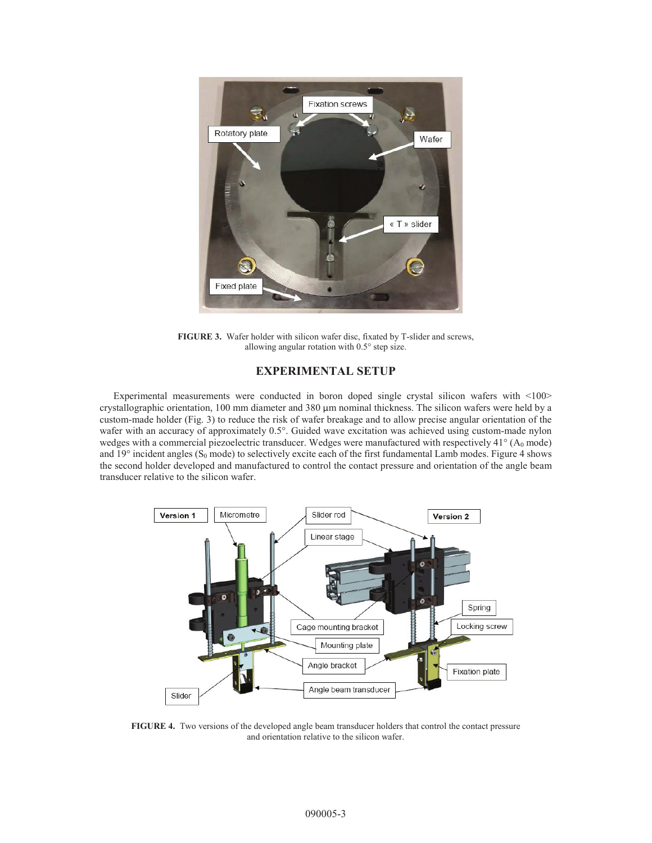

**FIGURE 3.** Wafer holder with silicon wafer disc, fixated by T-slider and screws, allowing angular rotation with 0.5° step size.

## **EXPERIMENTAL SETUP**

Experimental measurements were conducted in boron doped single crystal silicon wafers with <100> crystallographic orientation, 100 mm diameter and 380 μm nominal thickness. The silicon wafers were held by a custom-made holder (Fig. 3) to reduce the risk of wafer breakage and to allow precise angular orientation of the wafer with an accuracy of approximately 0.5°. Guided wave excitation was achieved using custom-made nylon wedges with a commercial piezoelectric transducer. Wedges were manufactured with respectively 41° (A<sub>0</sub> mode) and  $19^\circ$  incident angles (S<sub>0</sub> mode) to selectively excite each of the first fundamental Lamb modes. Figure 4 shows the second holder developed and manufactured to control the contact pressure and orientation of the angle beam transducer relative to the silicon wafer.



**FIGURE 4.** Two versions of the developed angle beam transducer holders that control the contact pressure and orientation relative to the silicon wafer.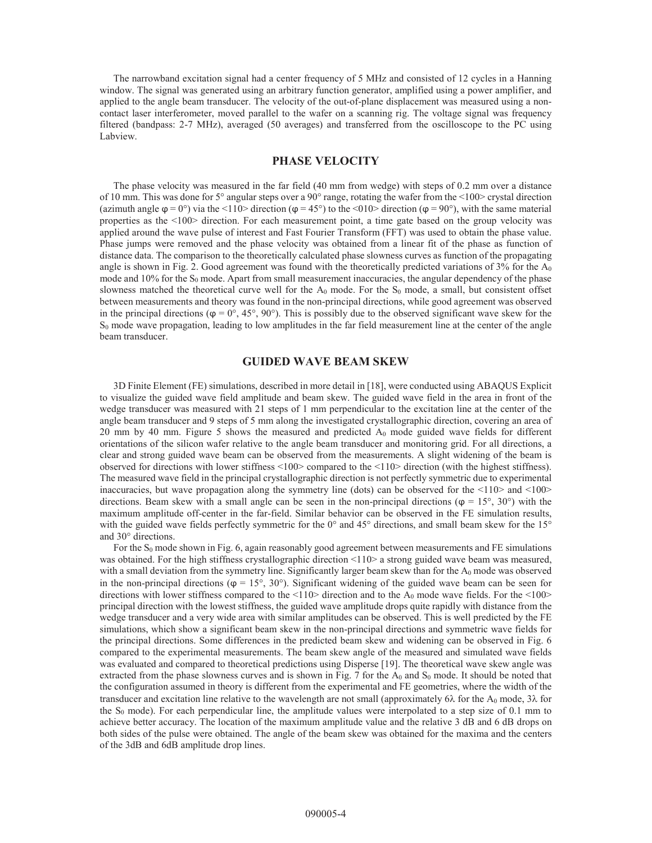The narrowband excitation signal had a center frequency of 5 MHz and consisted of 12 cycles in a Hanning window. The signal was generated using an arbitrary function generator, amplified using a power amplifier, and applied to the angle beam transducer. The velocity of the out-of-plane displacement was measured using a noncontact laser interferometer, moved parallel to the wafer on a scanning rig. The voltage signal was frequency filtered (bandpass: 2-7 MHz), averaged (50 averages) and transferred from the oscilloscope to the PC using Labview.

# **PHASE VELOCITY**

The phase velocity was measured in the far field (40 mm from wedge) with steps of 0.2 mm over a distance of 10 mm. This was done for  $5^{\circ}$  angular steps over a  $90^{\circ}$  range, rotating the wafer from the  $\leq 100$  crystal direction (azimuth angle  $\varphi = 0^{\circ}$ ) via the <110> direction ( $\varphi = 45^{\circ}$ ) to the <010> direction ( $\varphi = 90^{\circ}$ ), with the same material properties as the <100> direction. For each measurement point, a time gate based on the group velocity was applied around the wave pulse of interest and Fast Fourier Transform (FFT) was used to obtain the phase value. Phase jumps were removed and the phase velocity was obtained from a linear fit of the phase as function of distance data. The comparison to the theoretically calculated phase slowness curves as function of the propagating angle is shown in Fig. 2. Good agreement was found with the theoretically predicted variations of  $3\%$  for the A<sub>0</sub> mode and  $10\%$  for the  $S_0$  mode. Apart from small measurement inaccuracies, the angular dependency of the phase slowness matched the theoretical curve well for the  $A_0$  mode. For the  $S_0$  mode, a small, but consistent offset between measurements and theory was found in the non-principal directions, while good agreement was observed in the principal directions ( $\varphi = 0^\circ$ , 45°, 90°). This is possibly due to the observed significant wave skew for the  $S_0$  mode wave propagation, leading to low amplitudes in the far field measurement line at the center of the angle beam transducer.

#### **GUIDED WAVE BEAM SKEW**

3D Finite Element (FE) simulations, described in more detail in [18], were conducted using ABAQUS Explicit to visualize the guided wave field amplitude and beam skew. The guided wave field in the area in front of the wedge transducer was measured with 21 steps of 1 mm perpendicular to the excitation line at the center of the angle beam transducer and 9 steps of 5 mm along the investigated crystallographic direction, covering an area of 20 mm by 40 mm. Figure 5 shows the measured and predicted  $A_0$  mode guided wave fields for different orientations of the silicon wafer relative to the angle beam transducer and monitoring grid. For all directions, a clear and strong guided wave beam can be observed from the measurements. A slight widening of the beam is observed for directions with lower stiffness <100> compared to the <110> direction (with the highest stiffness). The measured wave field in the principal crystallographic direction is not perfectly symmetric due to experimental inaccuracies, but wave propagation along the symmetry line (dots) can be observed for the  $\langle 110 \rangle$  and  $\langle 100 \rangle$ directions. Beam skew with a small angle can be seen in the non-principal directions ( $\varphi = 15^{\circ}$ , 30°) with the maximum amplitude off-center in the far-field. Similar behavior can be observed in the FE simulation results, with the guided wave fields perfectly symmetric for the  $0^{\circ}$  and  $45^{\circ}$  directions, and small beam skew for the  $15^{\circ}$ and 30° directions.

For the  $S_0$  mode shown in Fig. 6, again reasonably good agreement between measurements and FE simulations was obtained. For the high stiffness crystallographic direction <110> a strong guided wave beam was measured, with a small deviation from the symmetry line. Significantly larger beam skew than for the  $A_0$  mode was observed in the non-principal directions ( $\varphi = 15^\circ$ , 30°). Significant widening of the guided wave beam can be seen for directions with lower stiffness compared to the  $\langle 110 \rangle$  direction and to the A<sub>0</sub> mode wave fields. For the  $\langle 100 \rangle$ principal direction with the lowest stiffness, the guided wave amplitude drops quite rapidly with distance from the wedge transducer and a very wide area with similar amplitudes can be observed. This is well predicted by the FE simulations, which show a significant beam skew in the non-principal directions and symmetric wave fields for the principal directions. Some differences in the predicted beam skew and widening can be observed in Fig. 6 compared to the experimental measurements. The beam skew angle of the measured and simulated wave fields was evaluated and compared to theoretical predictions using Disperse [19]. The theoretical wave skew angle was extracted from the phase slowness curves and is shown in Fig. 7 for the  $A_0$  and  $S_0$  mode. It should be noted that the configuration assumed in theory is different from the experimental and FE geometries, where the width of the transducer and excitation line relative to the wavelength are not small (approximately 6 $\lambda$  for the A<sub>0</sub> mode, 3 $\lambda$  for the  $S_0$  mode). For each perpendicular line, the amplitude values were interpolated to a step size of 0.1 mm to achieve better accuracy. The location of the maximum amplitude value and the relative 3 dB and 6 dB drops on both sides of the pulse were obtained. The angle of the beam skew was obtained for the maxima and the centers of the 3dB and 6dB amplitude drop lines.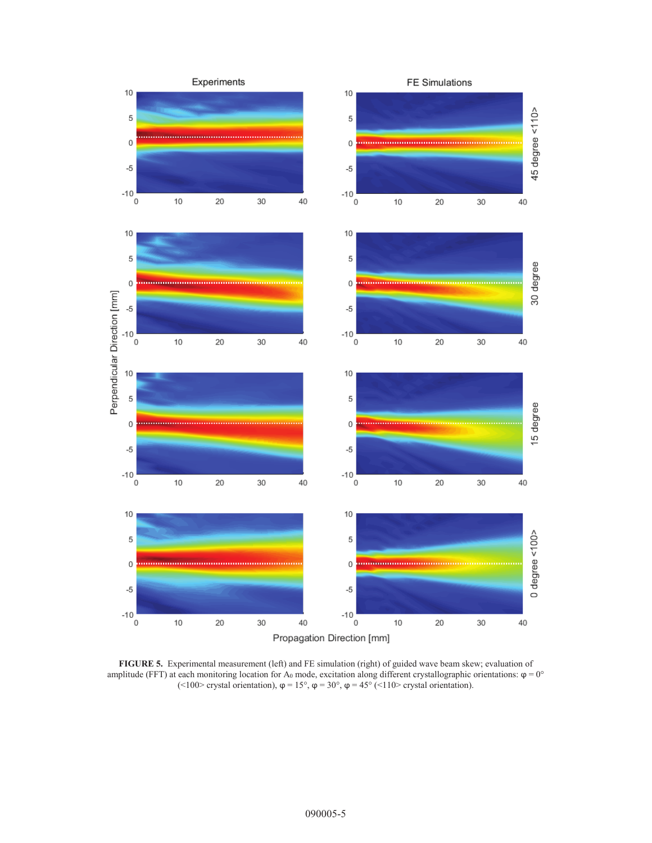

**FIGURE 5.** Experimental measurement (left) and FE simulation (right) of guided wave beam skew; evaluation of amplitude (FFT) at each monitoring location for A<sub>0</sub> mode, excitation along different crystallographic orientations:  $\varphi = 0^{\circ}$ (<100> crystal orientation),  $\varphi = 15^\circ$ ,  $\varphi = 30^\circ$ ,  $\varphi = 45^\circ$  (<110> crystal orientation).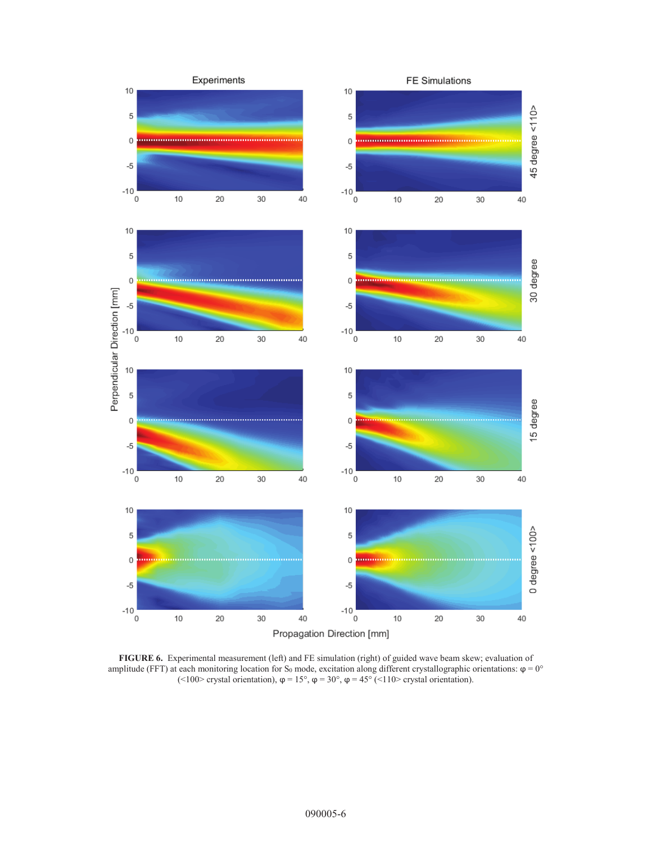

**FIGURE 6.** Experimental measurement (left) and FE simulation (right) of guided wave beam skew; evaluation of amplitude (FFT) at each monitoring location for S<sub>0</sub> mode, excitation along different crystallographic orientations:  $\varphi = 0^{\circ}$ (<100> crystal orientation),  $\varphi = 15^{\circ}$ ,  $\varphi = 30^{\circ}$ ,  $\varphi = 45^{\circ}$  (<110> crystal orientation).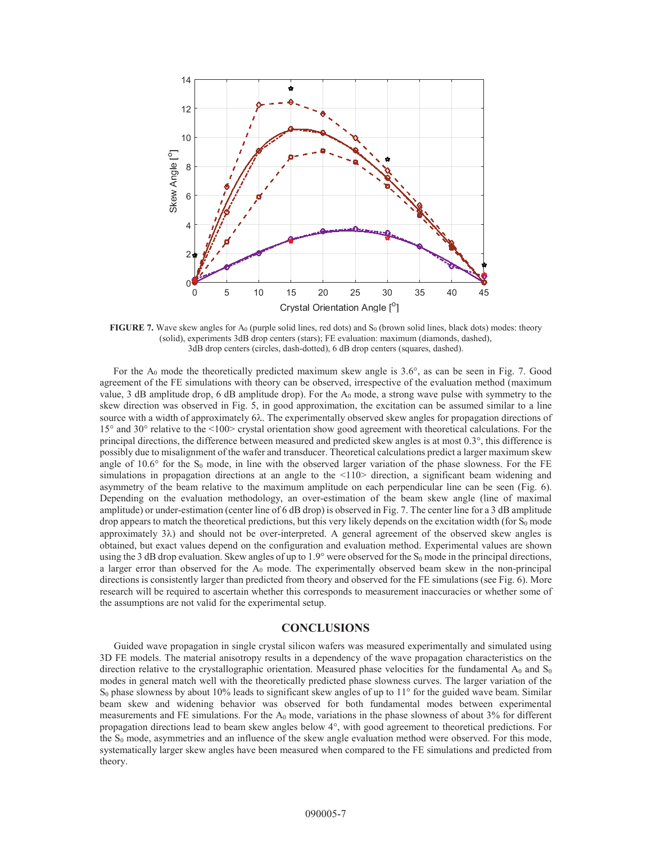

**FIGURE 7.** Wave skew angles for A<sub>0</sub> (purple solid lines, red dots) and S<sub>0</sub> (brown solid lines, black dots) modes: theory (solid), experiments 3dB drop centers (stars); FE evaluation: maximum (diamonds, dashed), 3dB drop centers (circles, dash-dotted), 6 dB drop centers (squares, dashed).

For the  $A_0$  mode the theoretically predicted maximum skew angle is 3.6 $\degree$ , as can be seen in Fig. 7. Good agreement of the FE simulations with theory can be observed, irrespective of the evaluation method (maximum value, 3 dB amplitude drop, 6 dB amplitude drop). For the  $A_0$  mode, a strong wave pulse with symmetry to the skew direction was observed in Fig. 5, in good approximation, the excitation can be assumed similar to a line source with a width of approximately 6 $\lambda$ . The experimentally observed skew angles for propagation directions of 15° and 30° relative to the <100> crystal orientation show good agreement with theoretical calculations. For the principal directions, the difference between measured and predicted skew angles is at most 0.3°, this difference is possibly due to misalignment of the wafer and transducer. Theoretical calculations predict a larger maximum skew angle of 10.6° for the  $S_0$  mode, in line with the observed larger variation of the phase slowness. For the FE simulations in propagation directions at an angle to the  $\langle 110 \rangle$  direction, a significant beam widening and asymmetry of the beam relative to the maximum amplitude on each perpendicular line can be seen (Fig. 6). Depending on the evaluation methodology, an over-estimation of the beam skew angle (line of maximal amplitude) or under-estimation (center line of 6 dB drop) is observed in Fig. 7. The center line for a 3 dB amplitude drop appears to match the theoretical predictions, but this very likely depends on the excitation width (for  $S_0$  mode approximately  $3\lambda$ ) and should not be over-interpreted. A general agreement of the observed skew angles is obtained, but exact values depend on the configuration and evaluation method. Experimental values are shown using the 3 dB drop evaluation. Skew angles of up to  $1.9^{\circ}$  were observed for the S<sub>0</sub> mode in the principal directions, a larger error than observed for the A<sub>0</sub> mode. The experimentally observed beam skew in the non-principal directions is consistently larger than predicted from theory and observed for the FE simulations (see Fig. 6). More research will be required to ascertain whether this corresponds to measurement inaccuracies or whether some of the assumptions are not valid for the experimental setup.

#### **CONCLUSIONS**

Guided wave propagation in single crystal silicon wafers was measured experimentally and simulated using 3D FE models. The material anisotropy results in a dependency of the wave propagation characteristics on the direction relative to the crystallographic orientation. Measured phase velocities for the fundamental  $A_0$  and  $S_0$ modes in general match well with the theoretically predicted phase slowness curves. The larger variation of the  $S_0$  phase slowness by about 10% leads to significant skew angles of up to  $11^\circ$  for the guided wave beam. Similar beam skew and widening behavior was observed for both fundamental modes between experimental measurements and FE simulations. For the  $A_0$  mode, variations in the phase slowness of about 3% for different propagation directions lead to beam skew angles below 4°, with good agreement to theoretical predictions. For the S<sub>0</sub> mode, asymmetries and an influence of the skew angle evaluation method were observed. For this mode, systematically larger skew angles have been measured when compared to the FE simulations and predicted from theory.